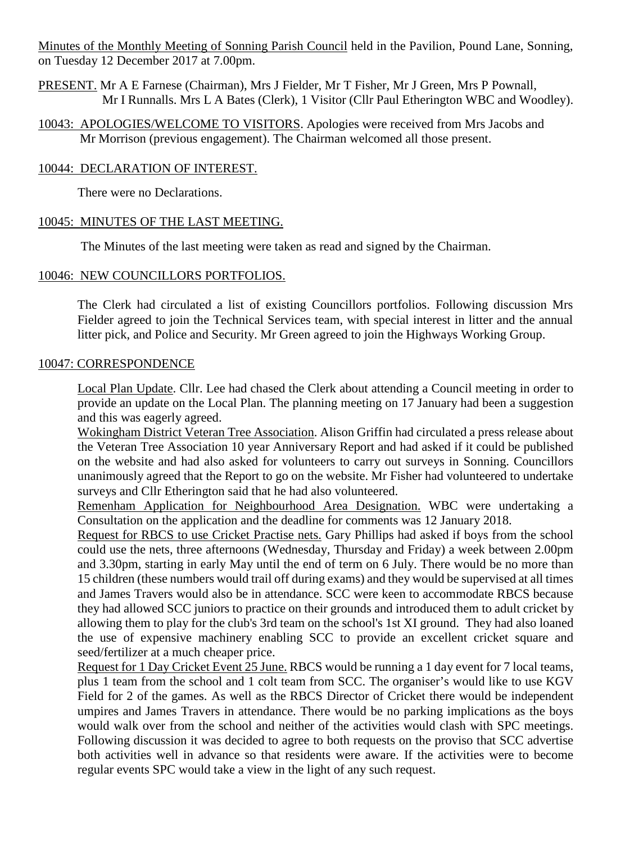Minutes of the Monthly Meeting of Sonning Parish Council held in the Pavilion, Pound Lane, Sonning, on Tuesday 12 December 2017 at 7.00pm.

PRESENT. Mr A E Farnese (Chairman), Mrs J Fielder, Mr T Fisher, Mr J Green, Mrs P Pownall, Mr I Runnalls. Mrs L A Bates (Clerk), 1 Visitor (Cllr Paul Etherington WBC and Woodley).

10043: APOLOGIES/WELCOME TO VISITORS. Apologies were received from Mrs Jacobs and Mr Morrison (previous engagement). The Chairman welcomed all those present.

### 10044: DECLARATION OF INTEREST.

There were no Declarations.

#### 10045: MINUTES OF THE LAST MEETING.

The Minutes of the last meeting were taken as read and signed by the Chairman.

### 10046: NEW COUNCILLORS PORTFOLIOS.

The Clerk had circulated a list of existing Councillors portfolios. Following discussion Mrs Fielder agreed to join the Technical Services team, with special interest in litter and the annual litter pick, and Police and Security. Mr Green agreed to join the Highways Working Group.

#### 10047: CORRESPONDENCE

Local Plan Update. Cllr. Lee had chased the Clerk about attending a Council meeting in order to provide an update on the Local Plan. The planning meeting on 17 January had been a suggestion and this was eagerly agreed.

Wokingham District Veteran Tree Association. Alison Griffin had circulated a press release about the Veteran Tree Association 10 year Anniversary Report and had asked if it could be published on the website and had also asked for volunteers to carry out surveys in Sonning. Councillors unanimously agreed that the Report to go on the website. Mr Fisher had volunteered to undertake surveys and Cllr Etherington said that he had also volunteered.

Remenham Application for Neighbourhood Area Designation. WBC were undertaking a Consultation on the application and the deadline for comments was 12 January 2018.

Request for RBCS to use Cricket Practise nets. Gary Phillips had asked if boys from the school could use the nets, three afternoons (Wednesday, Thursday and Friday) a week between 2.00pm and 3.30pm, starting in early May until the end of term on 6 July. There would be no more than 15 children (these numbers would trail off during exams) and they would be supervised at all times and James Travers would also be in attendance. SCC were keen to accommodate RBCS because they had allowed SCC juniors to practice on their grounds and introduced them to adult cricket by allowing them to play for the club's 3rd team on the school's 1st XI ground. They had also loaned the use of expensive machinery enabling SCC to provide an excellent cricket square and seed/fertilizer at a much cheaper price.

Request for 1 Day Cricket Event 25 June. RBCS would be running a 1 day event for 7 local teams, plus 1 team from the school and 1 colt team from SCC. The organiser's would like to use KGV Field for 2 of the games. As well as the RBCS Director of Cricket there would be independent umpires and James Travers in attendance. There would be no parking implications as the boys would walk over from the school and neither of the activities would clash with SPC meetings. Following discussion it was decided to agree to both requests on the proviso that SCC advertise both activities well in advance so that residents were aware. If the activities were to become regular events SPC would take a view in the light of any such request.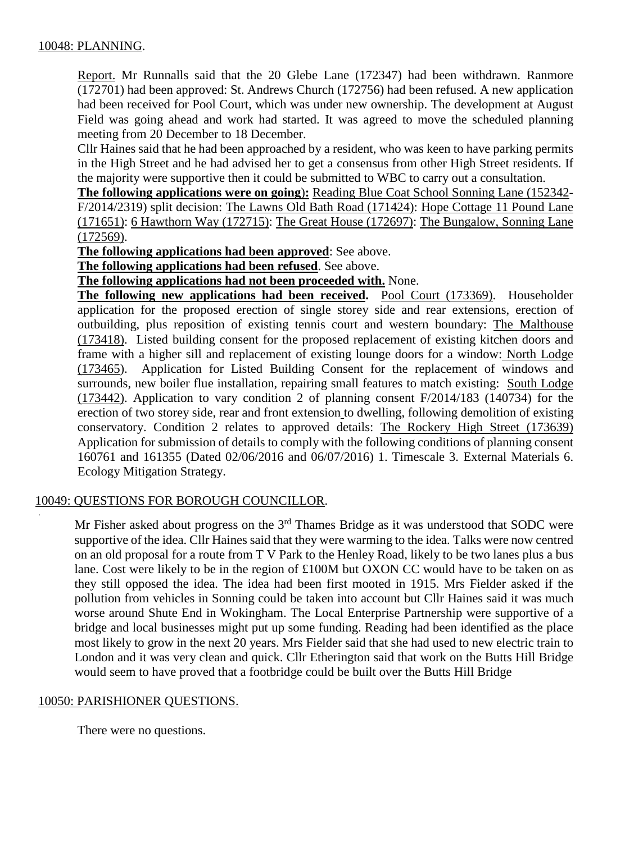### 10048: PLANNING.

Report. Mr Runnalls said that the 20 Glebe Lane (172347) had been withdrawn. Ranmore (172701) had been approved: St. Andrews Church (172756) had been refused. A new application had been received for Pool Court, which was under new ownership. The development at August Field was going ahead and work had started. It was agreed to move the scheduled planning meeting from 20 December to 18 December.

Cllr Haines said that he had been approached by a resident, who was keen to have parking permits in the High Street and he had advised her to get a consensus from other High Street residents. If the majority were supportive then it could be submitted to WBC to carry out a consultation.

**The following applications were on going**)**:** Reading Blue Coat School Sonning Lane (152342- F/2014/2319) split decision: The Lawns Old Bath Road (171424): Hope Cottage 11 Pound Lane (171651): 6 Hawthorn Way (172715): The Great House (172697): The Bungalow, Sonning Lane (172569).

**The following applications had been approved**: See above.

**The following applications had been refused**. See above.

**The following applications had not been proceeded with.** None.

**The following new applications had been received.** Pool Court (173369). Householder application for the proposed erection of single storey side and rear extensions, erection of outbuilding, plus reposition of existing tennis court and western boundary: The Malthouse (173418). Listed building consent for the proposed replacement of existing kitchen doors and frame with a higher sill and replacement of existing lounge doors for a window: North Lodge (173465). Application for Listed Building Consent for the replacement of windows and surrounds, new boiler flue installation, repairing small features to match existing: South Lodge (173442). Application to vary condition 2 of planning consent F/2014/183 (140734) for the erection of two storey side, rear and front extension to dwelling, following demolition of existing conservatory. Condition 2 relates to approved details: The Rockery High Street (173639) Application for submission of details to comply with the following conditions of planning consent 160761 and 161355 (Dated 02/06/2016 and 06/07/2016) 1. Timescale 3. External Materials 6. Ecology Mitigation Strategy.

### 10049: QUESTIONS FOR BOROUGH COUNCILLOR.

Mr Fisher asked about progress on the 3<sup>rd</sup> Thames Bridge as it was understood that SODC were supportive of the idea. Cllr Haines said that they were warming to the idea. Talks were now centred on an old proposal for a route from T V Park to the Henley Road, likely to be two lanes plus a bus lane. Cost were likely to be in the region of £100M but OXON CC would have to be taken on as they still opposed the idea. The idea had been first mooted in 1915. Mrs Fielder asked if the pollution from vehicles in Sonning could be taken into account but Cllr Haines said it was much worse around Shute End in Wokingham. The Local Enterprise Partnership were supportive of a bridge and local businesses might put up some funding. Reading had been identified as the place most likely to grow in the next 20 years. Mrs Fielder said that she had used to new electric train to London and it was very clean and quick. Cllr Etherington said that work on the Butts Hill Bridge would seem to have proved that a footbridge could be built over the Butts Hill Bridge

### 10050: PARISHIONER QUESTIONS.

.

There were no questions.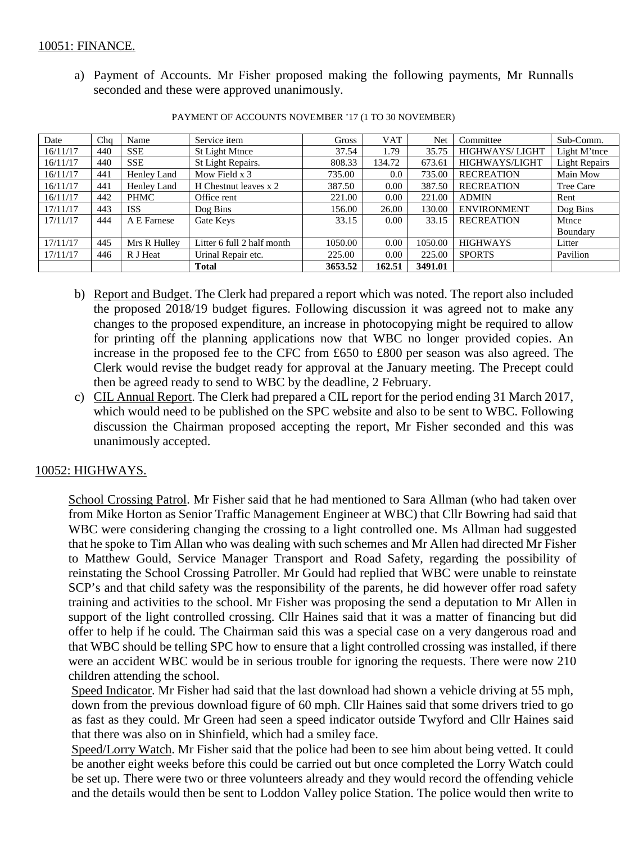a) Payment of Accounts. Mr Fisher proposed making the following payments, Mr Runnalls seconded and these were approved unanimously.

| Date     | Cha | Name         | Service item               | Gross   | <b>VAT</b> | Net     | Committee          | Sub-Comm.            |
|----------|-----|--------------|----------------------------|---------|------------|---------|--------------------|----------------------|
| 16/11/17 | 440 | <b>SSE</b>   | St Light Mtnce             | 37.54   | 1.79       | 35.75   | HIGHWAYS/LIGHT     | Light M'tnce         |
| 16/11/17 | 440 | <b>SSE</b>   | St Light Repairs.          | 808.33  | 134.72     | 673.61  | HIGHWAYS/LIGHT     | <b>Light Repairs</b> |
| 16/11/17 | 441 | Henley Land  | Mow Field x 3              | 735.00  | 0.0        | 735.00  | <b>RECREATION</b>  | Main Mow             |
| 16/11/17 | 441 | Henley Land  | H Chestnut leaves x 2      | 387.50  | 0.00       | 387.50  | <b>RECREATION</b>  | Tree Care            |
| 16/11/17 | 442 | PHMC         | Office rent                | 221.00  | 0.00       | 221.00  | <b>ADMIN</b>       | Rent                 |
| 17/11/17 | 443 | <b>ISS</b>   | Dog Bins                   | 156.00  | 26.00      | 130.00  | <b>ENVIRONMENT</b> | Dog Bins             |
| 17/11/17 | 444 | A E Farnese  | Gate Keys                  | 33.15   | 0.00       | 33.15   | <b>RECREATION</b>  | Mtnce                |
|          |     |              |                            |         |            |         |                    | Boundary             |
| 17/11/17 | 445 | Mrs R Hulley | Litter 6 full 2 half month | 1050.00 | 0.00       | 1050.00 | <b>HIGHWAYS</b>    | Litter               |
| 17/11/17 | 446 | R J Heat     | Urinal Repair etc.         | 225.00  | 0.00       | 225.00  | <b>SPORTS</b>      | Pavilion             |
|          |     |              | <b>Total</b>               | 3653.52 | 162.51     | 3491.01 |                    |                      |

PAYMENT OF ACCOUNTS NOVEMBER '17 (1 TO 30 NOVEMBER)

- b) Report and Budget. The Clerk had prepared a report which was noted. The report also included the proposed 2018/19 budget figures. Following discussion it was agreed not to make any changes to the proposed expenditure, an increase in photocopying might be required to allow for printing off the planning applications now that WBC no longer provided copies. An increase in the proposed fee to the CFC from £650 to £800 per season was also agreed. The Clerk would revise the budget ready for approval at the January meeting. The Precept could then be agreed ready to send to WBC by the deadline, 2 February.
- c) CIL Annual Report. The Clerk had prepared a CIL report for the period ending 31 March 2017, which would need to be published on the SPC website and also to be sent to WBC. Following discussion the Chairman proposed accepting the report, Mr Fisher seconded and this was unanimously accepted.

# 10052: HIGHWAYS.

School Crossing Patrol. Mr Fisher said that he had mentioned to Sara Allman (who had taken over from Mike Horton as Senior Traffic Management Engineer at WBC) that Cllr Bowring had said that WBC were considering changing the crossing to a light controlled one. Ms Allman had suggested that he spoke to Tim Allan who was dealing with such schemes and Mr Allen had directed Mr Fisher to Matthew Gould, Service Manager Transport and Road Safety, regarding the possibility of reinstating the School Crossing Patroller. Mr Gould had replied that WBC were unable to reinstate SCP's and that child safety was the responsibility of the parents, he did however offer road safety training and activities to the school. Mr Fisher was proposing the send a deputation to Mr Allen in support of the light controlled crossing. Cllr Haines said that it was a matter of financing but did offer to help if he could. The Chairman said this was a special case on a very dangerous road and that WBC should be telling SPC how to ensure that a light controlled crossing was installed, if there were an accident WBC would be in serious trouble for ignoring the requests. There were now 210 children attending the school.

Speed Indicator. Mr Fisher had said that the last download had shown a vehicle driving at 55 mph, down from the previous download figure of 60 mph. Cllr Haines said that some drivers tried to go as fast as they could. Mr Green had seen a speed indicator outside Twyford and Cllr Haines said that there was also on in Shinfield, which had a smiley face.

Speed/Lorry Watch. Mr Fisher said that the police had been to see him about being vetted. It could be another eight weeks before this could be carried out but once completed the Lorry Watch could be set up. There were two or three volunteers already and they would record the offending vehicle and the details would then be sent to Loddon Valley police Station. The police would then write to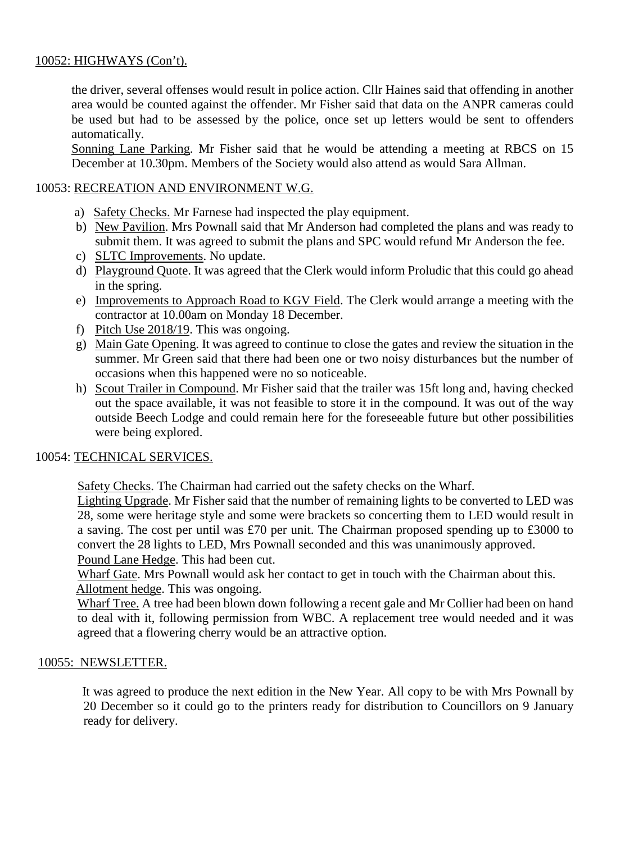# 10052: HIGHWAYS (Con't).

the driver, several offenses would result in police action. Cllr Haines said that offending in another area would be counted against the offender. Mr Fisher said that data on the ANPR cameras could be used but had to be assessed by the police, once set up letters would be sent to offenders automatically.

Sonning Lane Parking. Mr Fisher said that he would be attending a meeting at RBCS on 15 December at 10.30pm. Members of the Society would also attend as would Sara Allman.

# 10053: RECREATION AND ENVIRONMENT W.G.

- a) Safety Checks. Mr Farnese had inspected the play equipment.
- b) New Pavilion. Mrs Pownall said that Mr Anderson had completed the plans and was ready to submit them. It was agreed to submit the plans and SPC would refund Mr Anderson the fee.
- c) SLTC Improvements. No update.
- d) Playground Quote. It was agreed that the Clerk would inform Proludic that this could go ahead in the spring.
- e) Improvements to Approach Road to KGV Field. The Clerk would arrange a meeting with the contractor at 10.00am on Monday 18 December.
- f) Pitch Use 2018/19. This was ongoing.
- g) Main Gate Opening. It was agreed to continue to close the gates and review the situation in the summer. Mr Green said that there had been one or two noisy disturbances but the number of occasions when this happened were no so noticeable.
- h) Scout Trailer in Compound. Mr Fisher said that the trailer was 15ft long and, having checked out the space available, it was not feasible to store it in the compound. It was out of the way outside Beech Lodge and could remain here for the foreseeable future but other possibilities were being explored.

### 10054: TECHNICAL SERVICES.

Safety Checks. The Chairman had carried out the safety checks on the Wharf.

Lighting Upgrade. Mr Fisher said that the number of remaining lights to be converted to LED was 28, some were heritage style and some were brackets so concerting them to LED would result in a saving. The cost per until was £70 per unit. The Chairman proposed spending up to £3000 to convert the 28 lights to LED, Mrs Pownall seconded and this was unanimously approved. Pound Lane Hedge. This had been cut.

Wharf Gate. Mrs Pownall would ask her contact to get in touch with the Chairman about this. Allotment hedge. This was ongoing.

Wharf Tree. A tree had been blown down following a recent gale and Mr Collier had been on hand to deal with it, following permission from WBC. A replacement tree would needed and it was agreed that a flowering cherry would be an attractive option.

### 10055: NEWSLETTER.

 It was agreed to produce the next edition in the New Year. All copy to be with Mrs Pownall by 20 December so it could go to the printers ready for distribution to Councillors on 9 January ready for delivery.